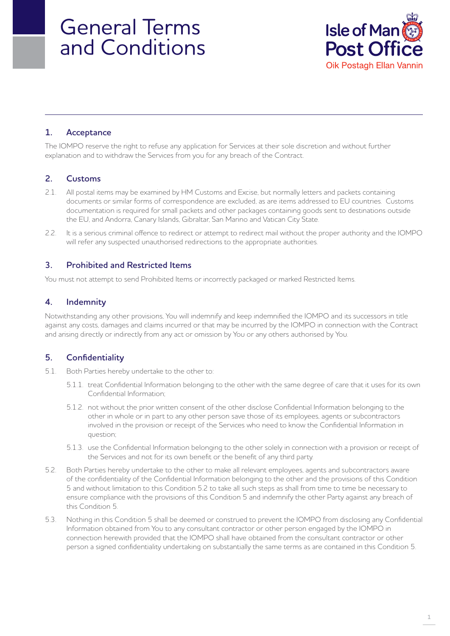# General Terms and Conditions



# **1. Acceptance**

The IOMPO reserve the right to refuse any application for Services at their sole discretion and without further explanation and to withdraw the Services from you for any breach of the Contract.

# **2. Customs**

- 2.1. All postal items may be examined by HM Customs and Excise, but normally letters and packets containing documents or similar forms of correspondence are excluded, as are items addressed to EU countries. Customs documentation is required for small packets and other packages containing goods sent to destinations outside the EU, and Andorra, Canary Islands, Gibraltar, San Marino and Vatican City State.
- 2.2. It is a serious criminal offence to redirect or attempt to redirect mail without the proper authority and the IOMPO will refer any suspected unauthorised redirections to the appropriate authorities.

# **3. Prohibited and Restricted Items**

You must not attempt to send Prohibited Items or incorrectly packaged or marked Restricted Items.

# **4. Indemnity**

Notwithstanding any other provisions, You will indemnify and keep indemnified the IOMPO and its successors in title against any costs, damages and claims incurred or that may be incurred by the IOMPO in connection with the Contract and arising directly or indirectly from any act or omission by You or any others authorised by You.

# **5. Confidentiality**

- 5.1. Both Parties hereby undertake to the other to:
	- 5.1.1. treat Confidential Information belonging to the other with the same degree of care that it uses for its own Confidential Information;
	- 5.1.2. not without the prior written consent of the other disclose Confidential Information belonging to the other in whole or in part to any other person save those of its employees, agents or subcontractors involved in the provision or receipt of the Services who need to know the Confidential Information in question;
	- 5.1.3. use the Confidential Information belonging to the other solely in connection with a provision or receipt of the Services and not for its own benefit or the benefit of any third party.
- 5.2. Both Parties hereby undertake to the other to make all relevant employees, agents and subcontractors aware of the confidentiality of the Confidential Information belonging to the other and the provisions of this Condition 5 and without limitation to this Condition 5.2 to take all such steps as shall from time to time be necessary to ensure compliance with the provisions of this Condition 5 and indemnify the other Party against any breach of this Condition 5.
- 5.3. Nothing in this Condition 5 shall be deemed or construed to prevent the IOMPO from disclosing any Confidential Information obtained from You to any consultant contractor or other person engaged by the IOMPO in connection herewith provided that the IOMPO shall have obtained from the consultant contractor or other person a signed confidentiality undertaking on substantially the same terms as are contained in this Condition 5.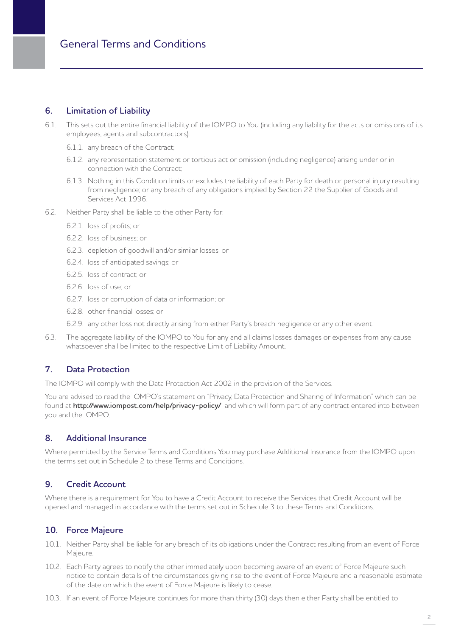# **6. Limitation of Liability**

- 6.1. This sets out the entire financial liability of the IOMPO to You (including any liability for the acts or omissions of its employees, agents and subcontractors):
	- 6.1.1. any breach of the Contract;
	- 6.1.2. any representation statement or tortious act or omission (including negligence) arising under or in connection with the Contract;
	- 6.1.3. Nothing in this Condition limits or excludes the liability of each Party for death or personal injury resulting from negligence; or any breach of any obligations implied by Section 22 the Supplier of Goods and Services Act 1996.
- 6.2. Neither Party shall be liable to the other Party for:
	- 6.2.1. loss of profits; or
	- 6.2.2. loss of business; or
	- 6.2.3. depletion of goodwill and/or similar losses; or
	- 6.2.4. loss of anticipated savings; or
	- 6.2.5. loss of contract; or
	- 6.2.6. loss of use; or
	- 6.2.7. loss or corruption of data or information; or
	- 6.2.8. other financial losses; or
	- 6.2.9. any other loss not directly arising from either Party's breach negligence or any other event.
- 6.3. The aggregate liability of the IOMPO to You for any and all claims losses damages or expenses from any cause whatsoever shall be limited to the respective Limit of Liability Amount.

# **7. Data Protection**

The IOMPO will comply with the Data Protection Act 2002 in the provision of the Services.

You are advised to read the IOMPO's statement on "Privacy, Data Protection and Sharing of Information" which can be found at **http://www.iompost.com/help/privacy-policy/** and which will form part of any contract entered into between you and the IOMPO.

#### **8. Additional Insurance**

Where permitted by the Service Terms and Conditions You may purchase Additional Insurance from the IOMPO upon the terms set out in Schedule 2 to these Terms and Conditions.

# **9. Credit Account**

Where there is a requirement for You to have a Credit Account to receive the Services that Credit Account will be opened and managed in accordance with the terms set out in Schedule 3 to these Terms and Conditions.

# **10. Force Majeure**

- 10.1. Neither Party shall be liable for any breach of its obligations under the Contract resulting from an event of Force Majeure.
- 10.2. Each Party agrees to notify the other immediately upon becoming aware of an event of Force Majeure such notice to contain details of the circumstances giving rise to the event of Force Majeure and a reasonable estimate of the date on which the event of Force Majeure is likely to cease.
- 10.3. If an event of Force Majeure continues for more than thirty (30) days then either Party shall be entitled to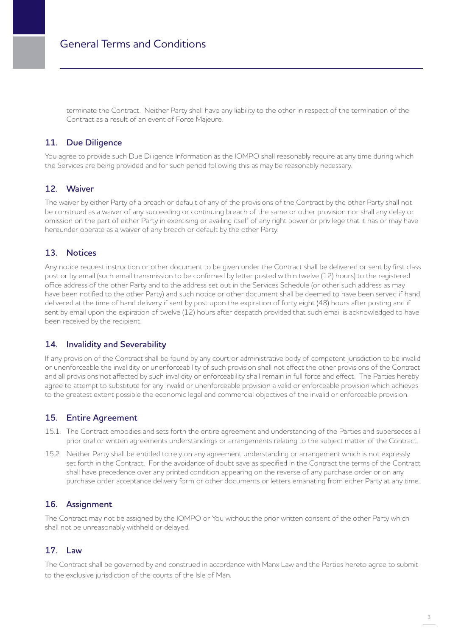terminate the Contract. Neither Party shall have any liability to the other in respect of the termination of the Contract as a result of an event of Force Majeure.

# **11. Due Diligence**

You agree to provide such Due Diligence Information as the IOMPO shall reasonably require at any time during which the Services are being provided and for such period following this as may be reasonably necessary.

#### **12. Waiver**

The waiver by either Party of a breach or default of any of the provisions of the Contract by the other Party shall not be construed as a waiver of any succeeding or continuing breach of the same or other provision nor shall any delay or omission on the part of either Party in exercising or availing itself of any right power or privilege that it has or may have hereunder operate as a waiver of any breach or default by the other Party.

# **13. Notices**

Any notice request instruction or other document to be given under the Contract shall be delivered or sent by first class post or by email (such email transmission to be confirmed by letter posted within twelve (12) hours) to the registered office address of the other Party and to the address set out in the Services Schedule (or other such address as may have been notified to the other Party) and such notice or other document shall be deemed to have been served if hand delivered at the time of hand delivery if sent by post upon the expiration of forty eight (48) hours after posting and if sent by email upon the expiration of twelve (12) hours after despatch provided that such email is acknowledged to have been received by the recipient.

# **14. Invalidity and Severability**

If any provision of the Contract shall be found by any court or administrative body of competent jurisdiction to be invalid or unenforceable the invalidity or unenforceability of such provision shall not affect the other provisions of the Contract and all provisions not affected by such invalidity or enforceability shall remain in full force and effect. The Parties hereby agree to attempt to substitute for any invalid or unenforceable provision a valid or enforceable provision which achieves to the greatest extent possible the economic legal and commercial objectives of the invalid or enforceable provision.

# **15. Entire Agreement**

- 15.1. The Contract embodies and sets forth the entire agreement and understanding of the Parties and supersedes all prior oral or written agreements understandings or arrangements relating to the subject matter of the Contract.
- 15.2. Neither Party shall be entitled to rely on any agreement understanding or arrangement which is not expressly set forth in the Contract. For the avoidance of doubt save as specified in the Contract the terms of the Contract shall have precedence over any printed condition appearing on the reverse of any purchase order or on any purchase order acceptance delivery form or other documents or letters emanating from either Party at any time.

# **16. Assignment**

The Contract may not be assigned by the IOMPO or You without the prior written consent of the other Party which shall not be unreasonably withheld or delayed.

# **17. Law**

The Contract shall be governed by and construed in accordance with Manx Law and the Parties hereto agree to submit to the exclusive jurisdiction of the courts of the Isle of Man.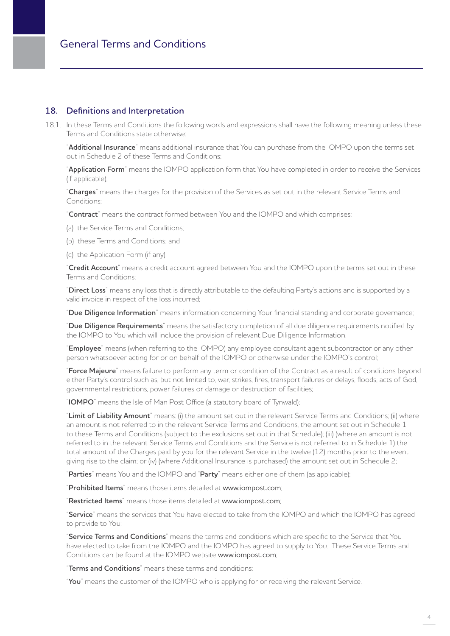## **18. Definitions and Interpretation**

18.1. In these Terms and Conditions the following words and expressions shall have the following meaning unless these Terms and Conditions state otherwise:

"**Additional Insurance**" means additional insurance that You can purchase from the IOMPO upon the terms set out in Schedule 2 of these Terms and Conditions;

"**Application Form**" means the IOMPO application form that You have completed in order to receive the Services (if applicable);

"**Charges**" means the charges for the provision of the Services as set out in the relevant Service Terms and Conditions;

"**Contract**" means the contract formed between You and the IOMPO and which comprises:

(a) the Service Terms and Conditions;

- (b) these Terms and Conditions; and
- (c) the Application Form (if any);

"**Credit Account**" means a credit account agreed between You and the IOMPO upon the terms set out in these Terms and Conditions;

"**Direct Loss**" means any loss that is directly attributable to the defaulting Party's actions and is supported by a valid invoice in respect of the loss incurred;

"**Due Diligence Information**" means information concerning Your financial standing and corporate governance;

"**Due Diligence Requirements**" means the satisfactory completion of all due diligence requirements notified by the IOMPO to You which will include the provision of relevant Due Diligence Information.

"**Employee**" means (when referring to the IOMPO) any employee consultant agent subcontractor or any other person whatsoever acting for or on behalf of the IOMPO or otherwise under the IOMPO's control;

"**Force Majeure**" means failure to perform any term or condition of the Contract as a result of conditions beyond either Party's control such as, but not limited to, war, strikes, fires, transport failures or delays, floods, acts of God, governmental restrictions, power failures or damage or destruction of facilities;

"**IOMPO**" means the Isle of Man Post Office (a statutory board of Tynwald);

"**Limit of Liability Amount**" means: (i) the amount set out in the relevant Service Terms and Conditions; (ii) where an amount is not referred to in the relevant Service Terms and Conditions, the amount set out in Schedule 1 to these Terms and Conditions (subject to the exclusions set out in that Schedule); (iii) (where an amount is not referred to in the relevant Service Terms and Conditions and the Service is not referred to in Schedule 1) the total amount of the Charges paid by you for the relevant Service in the twelve (12) months prior to the event giving rise to the claim; or (iv) (where Additional Insurance is purchased) the amount set out in Schedule 2;

"**Parties**" means You and the IOMPO and "**Party**" means either one of them (as applicable);

"**Prohibited Items**" means those items detailed at www.iompost.com;

"**Restricted Items**" means those items detailed at www.iompost.com;

"**Service**" means the services that You have elected to take from the IOMPO and which the IOMPO has agreed to provide to You;

"**Service Terms and Conditions**" means the terms and conditions which are specific to the Service that You have elected to take from the IOMPO and the IOMPO has agreed to supply to You. These Service Terms and Conditions can be found at the IOMPO website www.iompost.com;

"**Terms and Conditions**" means these terms and conditions;

"**You**" means the customer of the IOMPO who is applying for or receiving the relevant Service.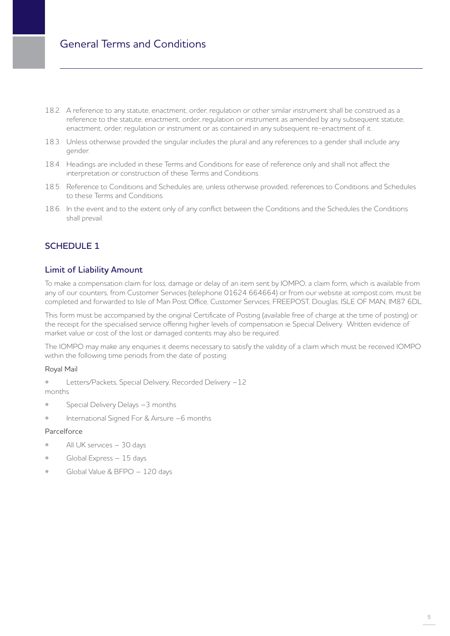- 18.2. A reference to any statute, enactment, order, regulation or other similar instrument shall be construed as a reference to the statute, enactment, order, regulation or instrument as amended by any subsequent statute, enactment, order, regulation or instrument or as contained in any subsequent re-enactment of it.
- 18.3. Unless otherwise provided the singular includes the plural and any references to a gender shall include any gender.
- 18.4. Headings are included in these Terms and Conditions for ease of reference only and shall not affect the interpretation or construction of these Terms and Conditions.
- 18.5. Reference to Conditions and Schedules are, unless otherwise provided, references to Conditions and Schedules to these Terms and Conditions.
- 18.6. In the event and to the extent only of any conflict between the Conditions and the Schedules the Conditions shall prevail.

# **SCHEDULE 1**

# **Limit of Liability Amount**

To make a compensation claim for loss, damage or delay of an item sent by IOMPO, a claim form, which is available from any of our counters, from Customer Services (telephone 01624 664664) or from our website at iompost.com, must be completed and forwarded to Isle of Man Post Office, Customer Services, FREEPOST, Douglas, ISLE OF MAN, IM87 6DL.

This form must be accompanied by the original Certificate of Posting (available free of charge at the time of posting) or the receipt for the specialised service offering higher levels of compensation ie Special Delivery. Written evidence of market value or cost of the lost or damaged contents may also be required.

The IOMPO may make any enquiries it deems necessary to satisfy the validity of a claim which must be received IOMPO within the following time periods from the date of posting:

#### Royal Mail

- Letters/Packets, Special Delivery, Recorded Delivery -12 months
- Special Delivery Delays -3 months
- International Signed For & Airsure –6 months

#### Parcelforce

- All UK services 30 days
- Global Express 15 days
- Global Value & BFPO 120 days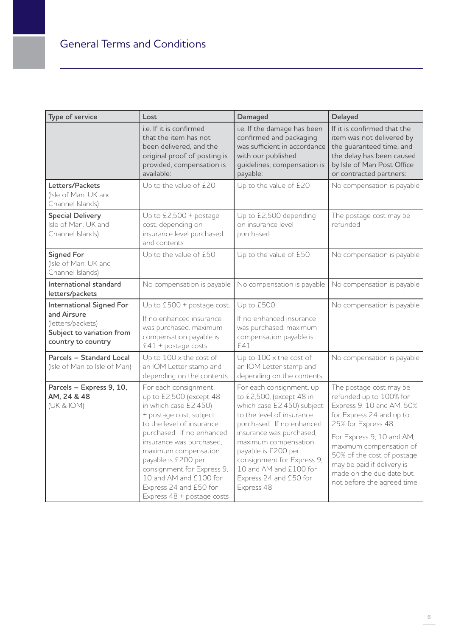| Type of service                                                                                                        | Lost                                                                                                                                                                                                                                                                                                                                                      | Damaged                                                                                                                                                                                                                                                                                                                 | Delayed                                                                                                                                                                                                                                                                                                          |
|------------------------------------------------------------------------------------------------------------------------|-----------------------------------------------------------------------------------------------------------------------------------------------------------------------------------------------------------------------------------------------------------------------------------------------------------------------------------------------------------|-------------------------------------------------------------------------------------------------------------------------------------------------------------------------------------------------------------------------------------------------------------------------------------------------------------------------|------------------------------------------------------------------------------------------------------------------------------------------------------------------------------------------------------------------------------------------------------------------------------------------------------------------|
|                                                                                                                        | i.e. If it is confirmed<br>that the item has not<br>been delivered, and the<br>original proof of posting is<br>provided, compensation is<br>available:                                                                                                                                                                                                    | i.e. If the damage has been<br>confirmed and packaging<br>was sufficient in accordance<br>with our published<br>guidelines, compensation is<br>payable:                                                                                                                                                                 | If it is confirmed that the<br>item was not delivered by<br>the guaranteed time, and<br>the delay has been caused<br>by Isle of Man Post Office<br>or contracted partners:                                                                                                                                       |
| Letters/Packets<br>(Isle of Man, UK and<br>Channel Islands)                                                            | Up to the value of £20                                                                                                                                                                                                                                                                                                                                    | Up to the value of £20                                                                                                                                                                                                                                                                                                  | No compensation is payable                                                                                                                                                                                                                                                                                       |
| <b>Special Delivery</b><br>Isle of Man, UK and<br>Channel Islands)                                                     | Up to £2,500 + postage<br>cost, depending on<br>insurance level purchased<br>and contents                                                                                                                                                                                                                                                                 | Up to £2,500 depending<br>on insurance level<br>purchased                                                                                                                                                                                                                                                               | The postage cost may be<br>refunded                                                                                                                                                                                                                                                                              |
| <b>Signed For</b><br>(Isle of Man, UK and<br>Channel Islands)                                                          | Up to the value of £50                                                                                                                                                                                                                                                                                                                                    | Up to the value of £50                                                                                                                                                                                                                                                                                                  | No compensation is payable                                                                                                                                                                                                                                                                                       |
| International standard<br>letters/packets                                                                              | No compensation is payable                                                                                                                                                                                                                                                                                                                                | No compensation is payable                                                                                                                                                                                                                                                                                              | No compensation is payable                                                                                                                                                                                                                                                                                       |
| <b>International Signed For</b><br>and Airsure<br>(letters/packets)<br>Subject to variation from<br>country to country | Up to £500 + postage cost.<br>If no enhanced insurance<br>was purchased, maximum<br>compensation payable is<br>$E41 + postage costs$                                                                                                                                                                                                                      | Up to £500.<br>If no enhanced insurance<br>was purchased, maximum<br>compensation payable is<br>£41                                                                                                                                                                                                                     | No compensation is payable                                                                                                                                                                                                                                                                                       |
| Parcels - Standard Local<br>(Isle of Man to Isle of Man)                                                               | Up to $100 \times$ the cost of<br>an IOM Letter stamp and<br>depending on the contents                                                                                                                                                                                                                                                                    | Up to $100 \times$ the cost of<br>an IOM Letter stamp and<br>depending on the contents                                                                                                                                                                                                                                  | No compensation is payable                                                                                                                                                                                                                                                                                       |
| Parcels - Express 9, 10,<br>AM, 24 & 48<br>(UK & IOM)                                                                  | For each consignment,<br>up to £2,500 (except 48<br>in which case £2,450)<br>+ postage cost, subject<br>to the level of insurance<br>purchased. If no enhanced<br>insurance was purchased,<br>maximum compensation<br>payable is £200 per<br>consignment for Express 9,<br>10 and AM and £100 for<br>Express 24 and £50 for<br>Express 48 + postage costs | For each consignment, up<br>to £2,500, (except 48 in<br>which case £2,450) subject<br>to the level of insurance<br>purchased. If no enhanced<br>insurance was purchased,<br>maximum compensation<br>payable is £200 per<br>consignment for Express 9,<br>10 and AM and £100 for<br>Express 24 and £50 for<br>Express 48 | The postage cost may be<br>refunded up to 100% for<br>Express 9, 10 and AM, 50%<br>for Express 24 and up to<br>25% for Express 48.<br>For Express 9, 10 and AM,<br>maximum compensation of<br>50% of the cost of postage<br>may be paid if delivery is<br>made on the due date but<br>not before the agreed time |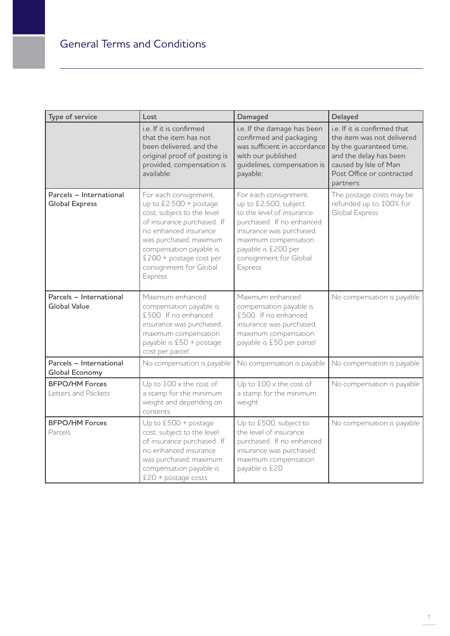| Type of service                                  | Lost                                                                                                                                                                                                                                                      | Damaged                                                                                                                                                                                                                  | Delayed                                                                                                                                                                            |
|--------------------------------------------------|-----------------------------------------------------------------------------------------------------------------------------------------------------------------------------------------------------------------------------------------------------------|--------------------------------------------------------------------------------------------------------------------------------------------------------------------------------------------------------------------------|------------------------------------------------------------------------------------------------------------------------------------------------------------------------------------|
|                                                  | i.e. If it is confirmed<br>that the item has not<br>been delivered, and the<br>original proof of posting is<br>provided, compensation is<br>available:                                                                                                    | i.e. If the damage has been<br>confirmed and packaging<br>was sufficient in accordance<br>with our published<br>guidelines, compensation is<br>payable:                                                                  | i.e. If it is confirmed that<br>the item was not delivered<br>by the guaranteed time,<br>and the delay has been<br>caused by Isle of Man<br>Post Office or contracted<br>partners: |
| Parcels - International<br><b>Global Express</b> | For each consignment,<br>up to £2,500 + postage<br>cost, subject to the level<br>of insurance purchased. If<br>no enhanced insurance<br>was purchased, maximum<br>compensation payable is<br>£200 + postage cost per<br>consignment for Global<br>Express | For each consignment,<br>up to £2,500, subject<br>to the level of insurance<br>purchased. If no enhanced<br>insurance was purchased,<br>maximum compensation<br>payable is £200 per<br>consignment for Global<br>Express | The postage costs may be<br>refunded up to 100% for<br>Global Express                                                                                                              |
| Parcels - International<br><b>Global Value</b>   | Maximum enhanced<br>compensation payable is<br>£500. If no enhanced<br>insurance was purchased,<br>maximum compensation<br>payable is £50 + postage<br>cost per parcel                                                                                    | Maximum enhanced<br>compensation payable is<br>£500. If no enhanced<br>insurance was purchased,<br>maximum compensation<br>payable is £50 per parcel                                                                     | No compensation is payable                                                                                                                                                         |
| Parcels - International<br><b>Global Economy</b> | No compensation is payable                                                                                                                                                                                                                                | No compensation is payable                                                                                                                                                                                               | No compensation is payable                                                                                                                                                         |
| <b>BFPO/HM Forces</b><br>Letters and Packets     | Up to $100 \times$ the cost of<br>a stamp for the minimum<br>weight and depending on<br>contents                                                                                                                                                          | Up to $100 \times$ the cost of<br>a stamp for the minimum<br>weight                                                                                                                                                      | No compensation is payable                                                                                                                                                         |
| <b>BFPO/HM Forces</b><br>Parcels                 | Up to £500 + postage<br>cost, subject to the level<br>of insurance purchased. If<br>no enhanced insurance<br>was purchased, maximum<br>compensation payable is<br>$£20 + postage costs$                                                                   | Up to £500, subject to<br>the level of insurance<br>purchased. If no enhanced<br>insurance was purchased,<br>maximum compensation<br>payable is £20.                                                                     | No compensation is payable                                                                                                                                                         |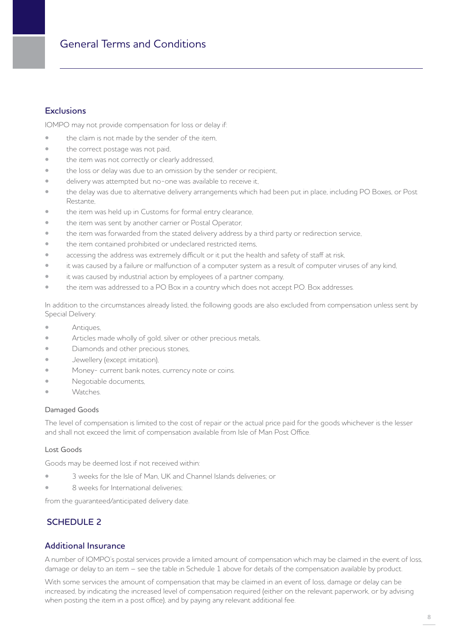# General Terms and Conditions

## **Exclusions**

IOMPO may not provide compensation for loss or delay if:

- the claim is not made by the sender of the item.
- the correct postage was not paid,
- the item was not correctly or clearly addressed,
- the loss or delay was due to an omission by the sender or recipient,
- delivery was attempted but no-one was available to receive it,
- the delay was due to alternative delivery arrangements which had been put in place, including PO Boxes, or Post Restante,
- the item was held up in Customs for formal entry clearance,
- the item was sent by another carrier or Postal Operator,
- the item was forwarded from the stated delivery address by a third party or redirection service,
- the item contained prohibited or undeclared restricted items,
- accessing the address was extremely difficult or it put the health and safety of staff at risk,
- it was caused by a failure or malfunction of a computer system as a result of computer viruses of any kind,
- it was caused by industrial action by employees of a partner company,
- the item was addressed to a PO Box in a country which does not accept P.O. Box addresses.

In addition to the circumstances already listed, the following goods are also excluded from compensation unless sent by Special Delivery:

- **Antiques,**
- Articles made wholly of gold, silver or other precious metals,
- Diamonds and other precious stones,
- Jewellery (except imitation),
- Money- current bank notes, currency note or coins.
- Negotiable documents,
- Watches.

#### Damaged Goods

The level of compensation is limited to the cost of repair or the actual price paid for the goods whichever is the lesser and shall not exceed the limit of compensation available from Isle of Man Post Office.

#### Lost Goods

Goods may be deemed lost if not received within:

- 3 weeks for the Isle of Man, UK and Channel Islands deliveries; or
- 8 weeks for International deliveries;

from the guaranteed/anticipated delivery date.

# **SCHEDULE 2**

### **Additional Insurance**

A number of IOMPO's postal services provide a limited amount of compensation which may be claimed in the event of loss, damage or delay to an item – see the table in Schedule 1 above for details of the compensation available by product.

With some services the amount of compensation that may be claimed in an event of loss, damage or delay can be increased, by indicating the increased level of compensation required (either on the relevant paperwork, or by advising when posting the item in a post office), and by paying any relevant additional fee.